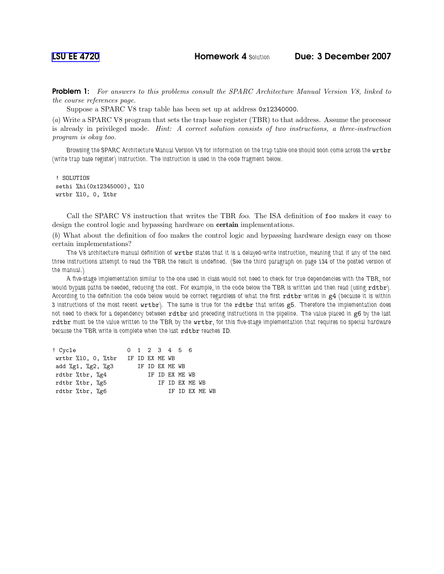LSU EE [4720](http://www.ece.lsu.edu/ee4720/) Homework 4 Solution Due: 3 December 2007

**Problem 1:** For answers to this problems consult the SPARC Architecture Manual Version V8, linked to the course references page.

Suppose a SPARC V8 trap table has been set up at address 0x12340000.

(a) Write a SPARC V8 program that sets the trap base register (TBR) to that address. Assume the processor is already in privileged mode. Hint: A correct solution consists of two instructions, a three-instruction program is okay too.

Browsing the SPARC Architecture Manual Version V8 for information on the trap table one should soon come across the wrtbr (write trap base register) instruction. The instruction is used in the code fragment below.

! SOLUTION sethi %hi(0x12345000), %l0 wrtbr %l0, 0, %tbr

Call the SPARC V8 instruction that writes the TBR foo. The ISA definition of foo makes it easy to design the control logic and bypassing hardware on certain implementations.

(b) What about the definition of foo makes the control logic and bypassing hardware design easy on those certain implementations?

The V8 architecture manual definition of wrtbr states that it is a delayed-write instruction, meaning that if any of the next three instructions attempt to read the TBR the result is undefined. (See the third paragraph on page 134 of the posted version of the manual.)

A five-stage implementation similar to the one used in class would not need to check for true dependencies with the TBR, nor would bypass paths be needed, reducing the cost. For example, in the code below the TBR is written and then read (using rdtbr). According to the definition the code below would be correct regardless of what the first rdtbr writes in g4 (because it is within 3 instructions of the most recent wrtbr). The same is true for the rdtbr that writes g5. Therefore the implementation does not need to check for a dependency between rdtbr and preceding instructions in the pipeline. The value placed in g6 by the last rdtbr must be the value written to the TBR by the wrtbr, for this five-stage implementation that requires no special hardware because the TBR write is complete when the last rdtbr reaches ID.

| ! Cycle               |                |  | 0 1 2 3 4 5 6  |                |  |                |  |
|-----------------------|----------------|--|----------------|----------------|--|----------------|--|
| wrtbr $%10, 0, %$ tbr | IF ID EX ME WB |  |                |                |  |                |  |
| add %g1, %g2, %g3     |                |  | IF ID EX ME WB |                |  |                |  |
| rdtbr %tbr, %g4       |                |  | IF ID EX ME WB |                |  |                |  |
| rdtbr %tbr, %g5       |                |  |                | IF ID EX ME WB |  |                |  |
| rdtbr %tbr, %g6       |                |  |                |                |  | TF TD FX MF WB |  |